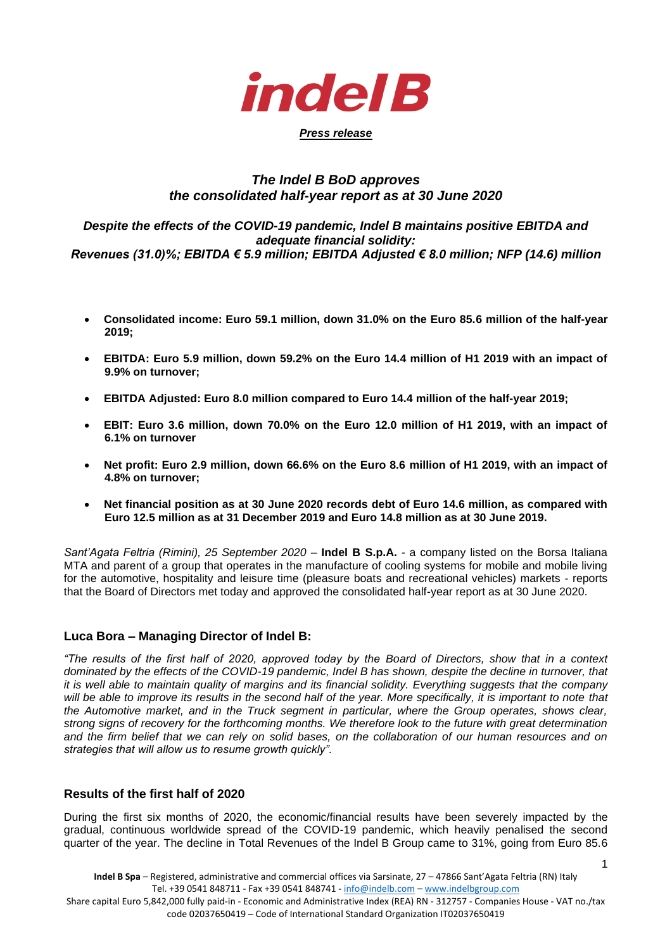

## *Press release*

# *The Indel B BoD approves the consolidated half-year report as at 30 June 2020*

### *Despite the effects of the COVID-19 pandemic, Indel B maintains positive EBITDA and adequate financial solidity: Revenues (31.0)%; EBITDA € 5.9 million; EBITDA Adjusted € 8.0 million; NFP (14.6) million*

- **Consolidated income: Euro 59.1 million, down 31.0% on the Euro 85.6 million of the half-year 2019;**
- **EBITDA: Euro 5.9 million, down 59.2% on the Euro 14.4 million of H1 2019 with an impact of 9.9% on turnover;**
- **EBITDA Adjusted: Euro 8.0 million compared to Euro 14.4 million of the half-year 2019;**
- **EBIT: Euro 3.6 million, down 70.0% on the Euro 12.0 million of H1 2019, with an impact of 6.1% on turnover**
- **Net profit: Euro 2.9 million, down 66.6% on the Euro 8.6 million of H1 2019, with an impact of 4.8% on turnover;**
- **Net financial position as at 30 June 2020 records debt of Euro 14.6 million, as compared with Euro 12.5 million as at 31 December 2019 and Euro 14.8 million as at 30 June 2019.**

*Sant'Agata Feltria (Rimini), 25 September 2020 - Indel B S.p.A. - a company listed on the Borsa Italiana* MTA and parent of a group that operates in the manufacture of cooling systems for mobile and mobile living for the automotive, hospitality and leisure time (pleasure boats and recreational vehicles) markets - reports that the Board of Directors met today and approved the consolidated half-year report as at 30 June 2020.

# **Luca Bora – Managing Director of Indel B:**

*"The results of the first half of 2020, approved today by the Board of Directors, show that in a context dominated by the effects of the COVID-19 pandemic, Indel B has shown, despite the decline in turnover, that it is well able to maintain quality of margins and its financial solidity. Everything suggests that the company*  will be able to improve its results in the second half of the year. More specifically, it is important to note that *the Automotive market, and in the Truck segment in particular, where the Group operates, shows clear, strong signs of recovery for the forthcoming months. We therefore look to the future with great determination and the firm belief that we can rely on solid bases, on the collaboration of our human resources and on strategies that will allow us to resume growth quickly".*

# **Results of the first half of 2020**

During the first six months of 2020, the economic/financial results have been severely impacted by the gradual, continuous worldwide spread of the COVID-19 pandemic, which heavily penalised the second quarter of the year. The decline in Total Revenues of the Indel B Group came to 31%, going from Euro 85.6

1

code 02037650419 – Code of International Standard Organization IT02037650419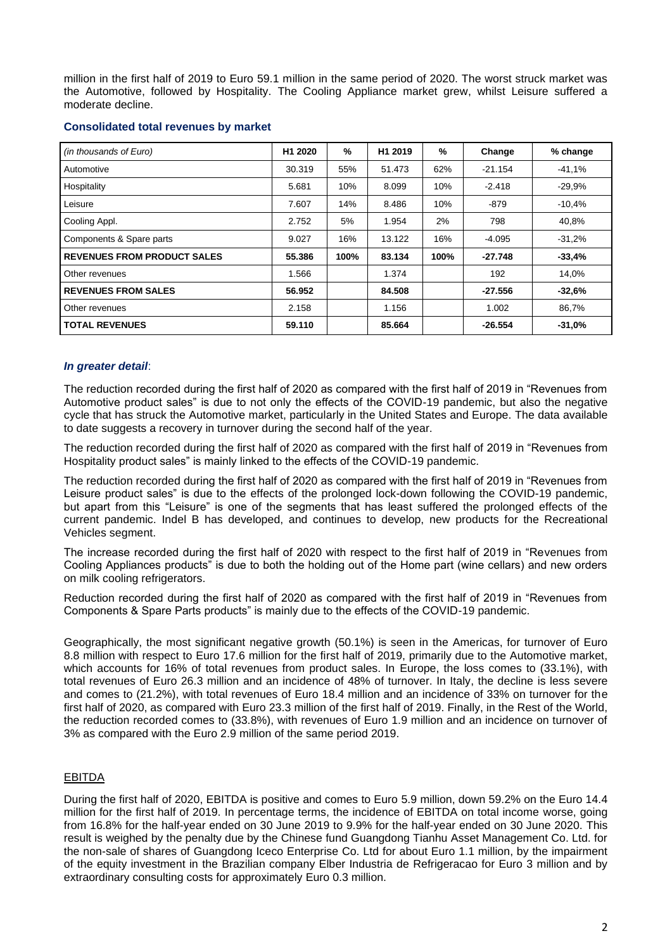million in the first half of 2019 to Euro 59.1 million in the same period of 2020. The worst struck market was the Automotive, followed by Hospitality. The Cooling Appliance market grew, whilst Leisure suffered a moderate decline.

| (in thousands of Euro)             | H1 2020 | %    | H <sub>1</sub> 2019 | %    | Change    | % change |
|------------------------------------|---------|------|---------------------|------|-----------|----------|
| Automotive                         | 30.319  | 55%  | 51.473              | 62%  | $-21.154$ | $-41,1%$ |
| Hospitality                        | 5.681   | 10%  | 8.099               | 10%  | $-2.418$  | $-29.9%$ |
| Leisure                            | 7.607   | 14%  | 8.486               | 10%  | $-879$    | $-10,4%$ |
| Cooling Appl.                      | 2.752   | 5%   | 1.954               | 2%   | 798       | 40,8%    |
| Components & Spare parts           | 9.027   | 16%  | 13.122              | 16%  | $-4.095$  | $-31,2%$ |
| <b>REVENUES FROM PRODUCT SALES</b> | 55.386  | 100% | 83.134              | 100% | -27.748   | $-33,4%$ |
| Other revenues                     | 1.566   |      | 1.374               |      | 192       | 14,0%    |
| <b>REVENUES FROM SALES</b>         | 56.952  |      | 84.508              |      | $-27.556$ | $-32.6%$ |
| Other revenues                     | 2.158   |      | 1.156               |      | 1.002     | 86,7%    |
| <b>TOTAL REVENUES</b>              | 59.110  |      | 85.664              |      | $-26.554$ | $-31,0%$ |

### **Consolidated total revenues by market**

#### *In greater detail*:

The reduction recorded during the first half of 2020 as compared with the first half of 2019 in "Revenues from Automotive product sales" is due to not only the effects of the COVID-19 pandemic, but also the negative cycle that has struck the Automotive market, particularly in the United States and Europe. The data available to date suggests a recovery in turnover during the second half of the year.

The reduction recorded during the first half of 2020 as compared with the first half of 2019 in "Revenues from Hospitality product sales" is mainly linked to the effects of the COVID-19 pandemic.

The reduction recorded during the first half of 2020 as compared with the first half of 2019 in "Revenues from Leisure product sales" is due to the effects of the prolonged lock-down following the COVID-19 pandemic, but apart from this "Leisure" is one of the segments that has least suffered the prolonged effects of the current pandemic. Indel B has developed, and continues to develop, new products for the Recreational Vehicles segment.

The increase recorded during the first half of 2020 with respect to the first half of 2019 in "Revenues from Cooling Appliances products" is due to both the holding out of the Home part (wine cellars) and new orders on milk cooling refrigerators.

Reduction recorded during the first half of 2020 as compared with the first half of 2019 in "Revenues from Components & Spare Parts products" is mainly due to the effects of the COVID-19 pandemic.

Geographically, the most significant negative growth (50.1%) is seen in the Americas, for turnover of Euro 8.8 million with respect to Euro 17.6 million for the first half of 2019, primarily due to the Automotive market, which accounts for 16% of total revenues from product sales. In Europe, the loss comes to (33.1%), with total revenues of Euro 26.3 million and an incidence of 48% of turnover. In Italy, the decline is less severe and comes to (21.2%), with total revenues of Euro 18.4 million and an incidence of 33% on turnover for the first half of 2020, as compared with Euro 23.3 million of the first half of 2019. Finally, in the Rest of the World, the reduction recorded comes to (33.8%), with revenues of Euro 1.9 million and an incidence on turnover of 3% as compared with the Euro 2.9 million of the same period 2019.

### EBITDA

During the first half of 2020, EBITDA is positive and comes to Euro 5.9 million, down 59.2% on the Euro 14.4 million for the first half of 2019. In percentage terms, the incidence of EBITDA on total income worse, going from 16.8% for the half-year ended on 30 June 2019 to 9.9% for the half-year ended on 30 June 2020. This result is weighed by the penalty due by the Chinese fund Guangdong Tianhu Asset Management Co. Ltd. for the non-sale of shares of Guangdong Iceco Enterprise Co. Ltd for about Euro 1.1 million, by the impairment of the equity investment in the Brazilian company Elber Industria de Refrigeracao for Euro 3 million and by extraordinary consulting costs for approximately Euro 0.3 million.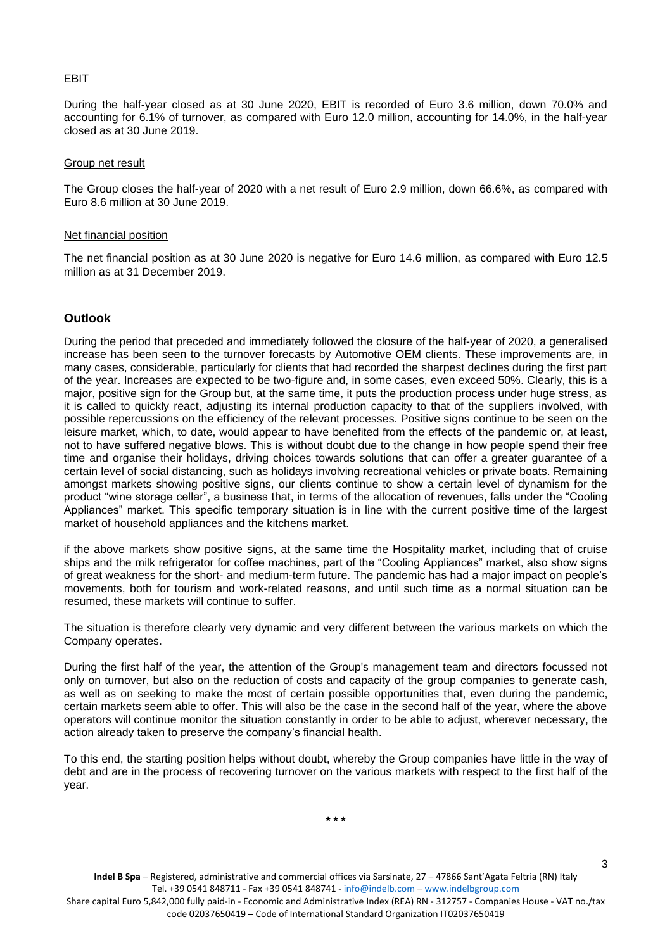#### EBIT

During the half-year closed as at 30 June 2020, EBIT is recorded of Euro 3.6 million, down 70.0% and accounting for 6.1% of turnover, as compared with Euro 12.0 million, accounting for 14.0%, in the half-year closed as at 30 June 2019.

#### Group net result

The Group closes the half-year of 2020 with a net result of Euro 2.9 million, down 66.6%, as compared with Euro 8.6 million at 30 June 2019.

#### Net financial position

The net financial position as at 30 June 2020 is negative for Euro 14.6 million, as compared with Euro 12.5 million as at 31 December 2019.

## **Outlook**

During the period that preceded and immediately followed the closure of the half-year of 2020, a generalised increase has been seen to the turnover forecasts by Automotive OEM clients. These improvements are, in many cases, considerable, particularly for clients that had recorded the sharpest declines during the first part of the year. Increases are expected to be two-figure and, in some cases, even exceed 50%. Clearly, this is a major, positive sign for the Group but, at the same time, it puts the production process under huge stress, as it is called to quickly react, adjusting its internal production capacity to that of the suppliers involved, with possible repercussions on the efficiency of the relevant processes. Positive signs continue to be seen on the leisure market, which, to date, would appear to have benefited from the effects of the pandemic or, at least, not to have suffered negative blows. This is without doubt due to the change in how people spend their free time and organise their holidays, driving choices towards solutions that can offer a greater guarantee of a certain level of social distancing, such as holidays involving recreational vehicles or private boats. Remaining amongst markets showing positive signs, our clients continue to show a certain level of dynamism for the product "wine storage cellar", a business that, in terms of the allocation of revenues, falls under the "Cooling Appliances" market. This specific temporary situation is in line with the current positive time of the largest market of household appliances and the kitchens market.

if the above markets show positive signs, at the same time the Hospitality market, including that of cruise ships and the milk refrigerator for coffee machines, part of the "Cooling Appliances" market, also show signs of great weakness for the short- and medium-term future. The pandemic has had a major impact on people's movements, both for tourism and work-related reasons, and until such time as a normal situation can be resumed, these markets will continue to suffer.

The situation is therefore clearly very dynamic and very different between the various markets on which the Company operates.

During the first half of the year, the attention of the Group's management team and directors focussed not only on turnover, but also on the reduction of costs and capacity of the group companies to generate cash, as well as on seeking to make the most of certain possible opportunities that, even during the pandemic, certain markets seem able to offer. This will also be the case in the second half of the year, where the above operators will continue monitor the situation constantly in order to be able to adjust, wherever necessary, the action already taken to preserve the company's financial health.

To this end, the starting position helps without doubt, whereby the Group companies have little in the way of debt and are in the process of recovering turnover on the various markets with respect to the first half of the year.

Share capital Euro 5,842,000 fully paid-in - Economic and Administrative Index (REA) RN - 312757 - Companies House - VAT no./tax code 02037650419 – Code of International Standard Organization IT02037650419

3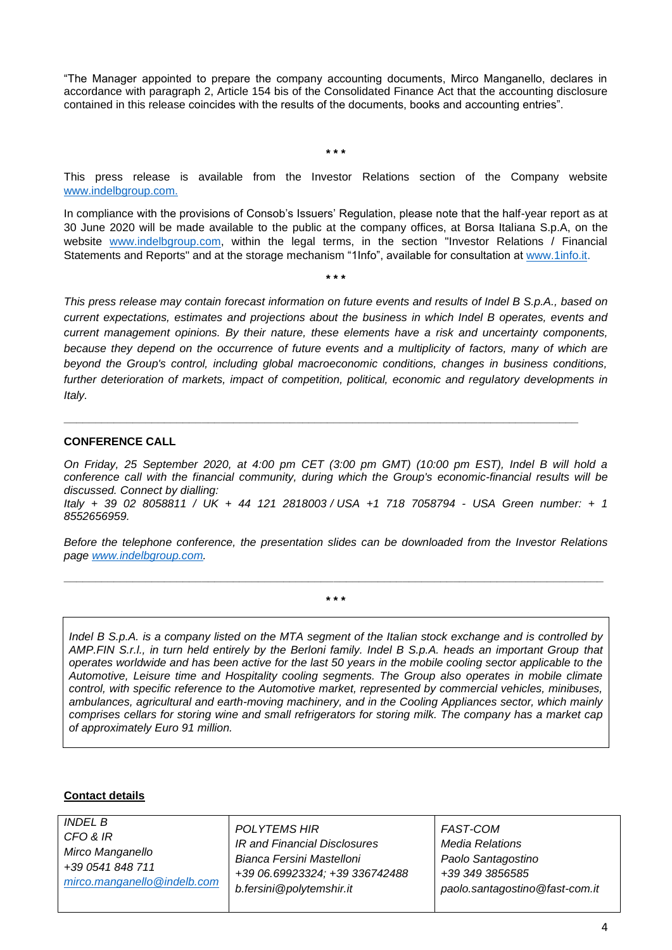"The Manager appointed to prepare the company accounting documents, Mirco Manganello, declares in accordance with paragraph 2, Article 154 bis of the Consolidated Finance Act that the accounting disclosure contained in this release coincides with the results of the documents, books and accounting entries".

**\* \* \***

This press release is available from the Investor Relations section of the Company website [www.indelbgroup.com.](http://www.indelbgroup.com/)

In compliance with the provisions of Consob's Issuers' Regulation, please note that the half-year report as at 30 June 2020 will be made available to the public at the company offices, at Borsa Italiana S.p.A, on the website [www.indelbgroup.com,](http://www.indelbgroup.com/) within the legal terms, in the section "Investor Relations / Financial Statements and Reports" and at the storage mechanism "1Info", available for consultation at [www.1info.it.](http://www.1info.it/)

**\* \* \***

*This press release may contain forecast information on future events and results of Indel B S.p.A., based on current expectations, estimates and projections about the business in which Indel B operates, events and current management opinions. By their nature, these elements have a risk and uncertainty components, because they depend on the occurrence of future events and a multiplicity of factors, many of which are beyond the Group's control, including global macroeconomic conditions, changes in business conditions, further deterioration of markets, impact of competition, political, economic and regulatory developments in Italy.*

## **CONFERENCE CALL**

*On Friday, 25 September 2020, at 4:00 pm CET (3:00 pm GMT) (10:00 pm EST), Indel B will hold a conference call with the financial community, during which the Group's economic-financial results will be discussed. Connect by dialling:*

**\_\_\_\_\_\_\_\_\_\_\_\_\_\_\_\_\_\_\_\_\_\_\_\_\_\_\_\_\_\_\_\_\_\_\_\_\_\_\_\_\_\_\_\_\_\_\_\_\_\_\_\_\_\_\_\_\_\_\_\_\_\_\_\_\_\_\_\_\_\_\_\_\_\_\_\_\_\_\_\_\_\_**

*Italy + 39 02 8058811 / UK + 44 121 2818003 / USA +1 718 7058794 - USA Green number: + 1 8552656959.* 

*Before the telephone conference, the presentation slides can be downloaded from the Investor Relations page [www.indelbgroup.com.](http://www.indelbgroup.com/)* 

**\_\_\_\_\_\_\_\_\_\_\_\_\_\_\_\_\_\_\_\_\_\_\_\_\_\_\_\_\_\_\_\_\_\_\_\_\_\_\_\_\_\_\_\_\_\_\_\_\_\_\_\_\_\_\_\_\_\_\_\_\_\_\_\_\_\_\_\_\_\_\_\_\_\_\_\_\_\_\_\_\_\_\_\_\_\_ \* \* \***

*Indel B S.p.A. is a company listed on the MTA segment of the Italian stock exchange and is controlled by AMP.FIN S.r.l., in turn held entirely by the Berloni family. Indel B S.p.A. heads an important Group that operates worldwide and has been active for the last 50 years in the mobile cooling sector applicable to the Automotive, Leisure time and Hospitality cooling segments. The Group also operates in mobile climate control, with specific reference to the Automotive market, represented by commercial vehicles, minibuses, ambulances, agricultural and earth-moving machinery, and in the Cooling Appliances sector, which mainly comprises cellars for storing wine and small refrigerators for storing milk. The company has a market cap of approximately Euro 91 million.*

### **Contact details**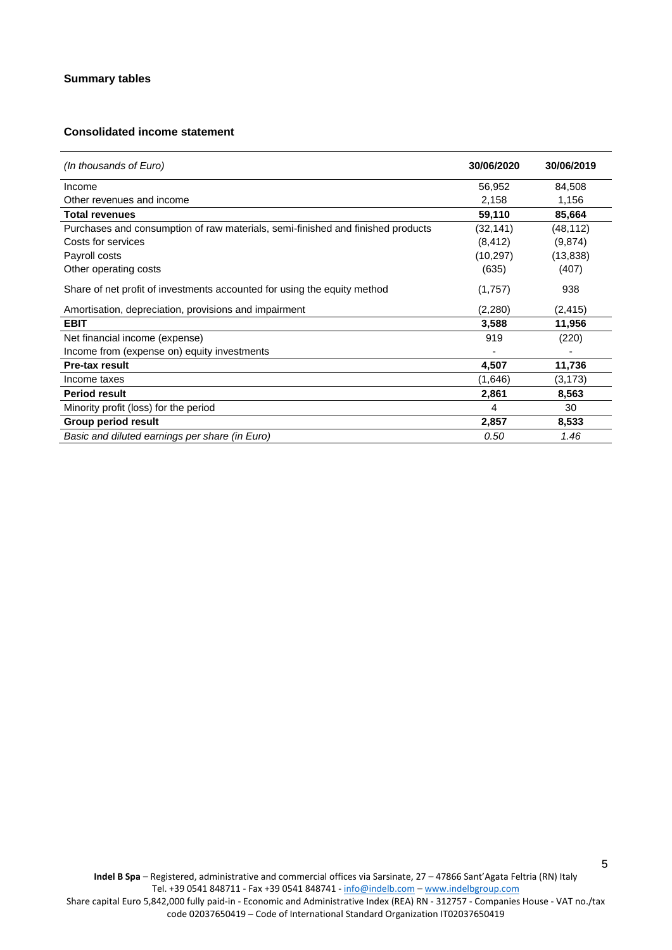# **Consolidated income statement**

| (In thousands of Euro)                                                          | 30/06/2020 | 30/06/2019 |
|---------------------------------------------------------------------------------|------------|------------|
| Income                                                                          | 56,952     | 84,508     |
| Other revenues and income                                                       | 2,158      | 1,156      |
| <b>Total revenues</b>                                                           | 59,110     | 85,664     |
| Purchases and consumption of raw materials, semi-finished and finished products | (32, 141)  | (48, 112)  |
| Costs for services                                                              | (8, 412)   | (9,874)    |
| Payroll costs                                                                   | (10, 297)  | (13, 838)  |
| Other operating costs                                                           | (635)      | (407)      |
| Share of net profit of investments accounted for using the equity method        | (1,757)    | 938        |
| Amortisation, depreciation, provisions and impairment                           | (2,280)    | (2, 415)   |
| <b>EBIT</b>                                                                     | 3,588      | 11,956     |
| Net financial income (expense)                                                  | 919        | (220)      |
| Income from (expense on) equity investments                                     |            |            |
| <b>Pre-tax result</b>                                                           | 4,507      | 11,736     |
| Income taxes                                                                    | (1,646)    | (3, 173)   |
| <b>Period result</b>                                                            | 2,861      | 8,563      |
| Minority profit (loss) for the period                                           | 4          | 30         |
| Group period result                                                             | 2,857      | 8,533      |
| Basic and diluted earnings per share (in Euro)                                  | 0.50       | 1.46       |

5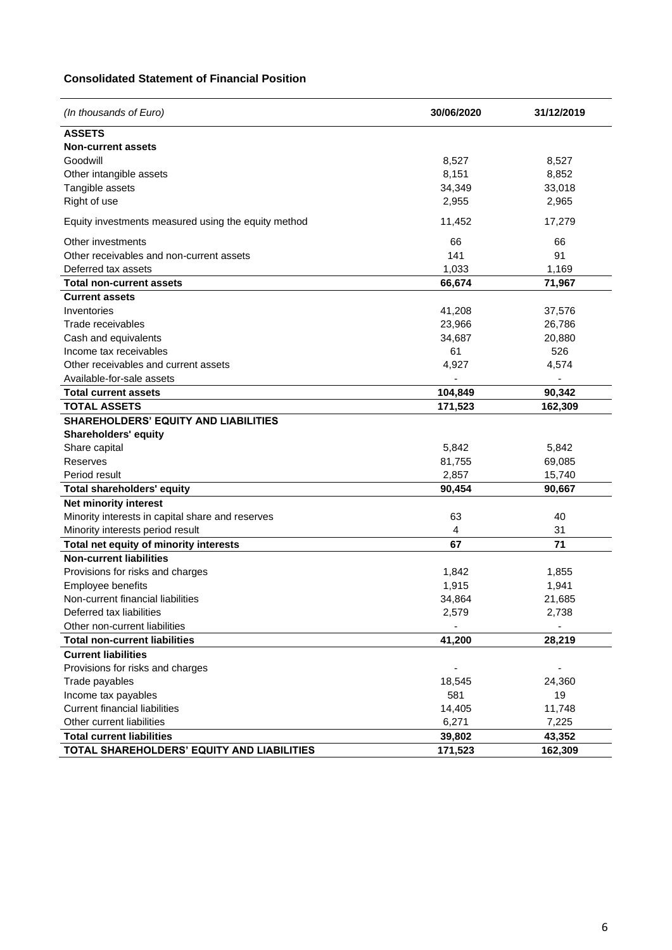## **Consolidated Statement of Financial Position**

| (In thousands of Euro)                                      | 30/06/2020      | 31/12/2019      |
|-------------------------------------------------------------|-----------------|-----------------|
| <b>ASSETS</b>                                               |                 |                 |
| <b>Non-current assets</b>                                   |                 |                 |
| Goodwill                                                    | 8,527           | 8,527           |
| Other intangible assets                                     | 8,151           | 8,852           |
| Tangible assets                                             | 34,349          | 33,018          |
| Right of use                                                | 2,955           | 2,965           |
| Equity investments measured using the equity method         | 11,452          | 17,279          |
| Other investments                                           | 66              | 66              |
| Other receivables and non-current assets                    | 141             | 91              |
| Deferred tax assets                                         | 1,033           | 1,169           |
| <b>Total non-current assets</b>                             | 66,674          | 71,967          |
| <b>Current assets</b>                                       |                 |                 |
| Inventories                                                 | 41,208          | 37,576          |
| Trade receivables                                           | 23,966          | 26,786          |
| Cash and equivalents                                        | 34,687          | 20,880          |
| Income tax receivables                                      | 61              | 526             |
| Other receivables and current assets                        | 4,927           | 4,574           |
| Available-for-sale assets                                   |                 |                 |
| <b>Total current assets</b>                                 | 104,849         | 90,342          |
| <b>TOTAL ASSETS</b>                                         | 171,523         | 162,309         |
| <b>SHAREHOLDERS' EQUITY AND LIABILITIES</b>                 |                 |                 |
| <b>Shareholders' equity</b>                                 |                 |                 |
| Share capital                                               | 5,842           | 5,842           |
| Reserves                                                    | 81,755          | 69,085          |
| Period result                                               | 2,857           | 15,740          |
| Total shareholders' equity                                  | 90,454          | 90,667          |
| Net minority interest                                       |                 |                 |
| Minority interests in capital share and reserves            | 63              | 40              |
| Minority interests period result                            | 4               | 31              |
| Total net equity of minority interests                      | 67              | 71              |
| <b>Non-current liabilities</b>                              |                 |                 |
| Provisions for risks and charges                            | 1,842           | 1,855           |
| Employee benefits                                           | 1,915           | 1,941           |
| Non-current financial liabilities                           | 34,864          | 21,685          |
| Deferred tax liabilities                                    | 2,579           | 2,738           |
| Other non-current liabilities                               |                 |                 |
| <b>Total non-current liabilities</b>                        | 41,200          | 28,219          |
| <b>Current liabilities</b>                                  |                 |                 |
| Provisions for risks and charges                            |                 |                 |
| Trade payables                                              | 18,545<br>581   | 24,360<br>19    |
| Income tax payables<br><b>Current financial liabilities</b> |                 |                 |
| Other current liabilities                                   | 14,405<br>6,271 | 11,748<br>7,225 |
| <b>Total current liabilities</b>                            | 39,802          | 43,352          |
| TOTAL SHAREHOLDERS' EQUITY AND LIABILITIES                  | 171,523         | 162,309         |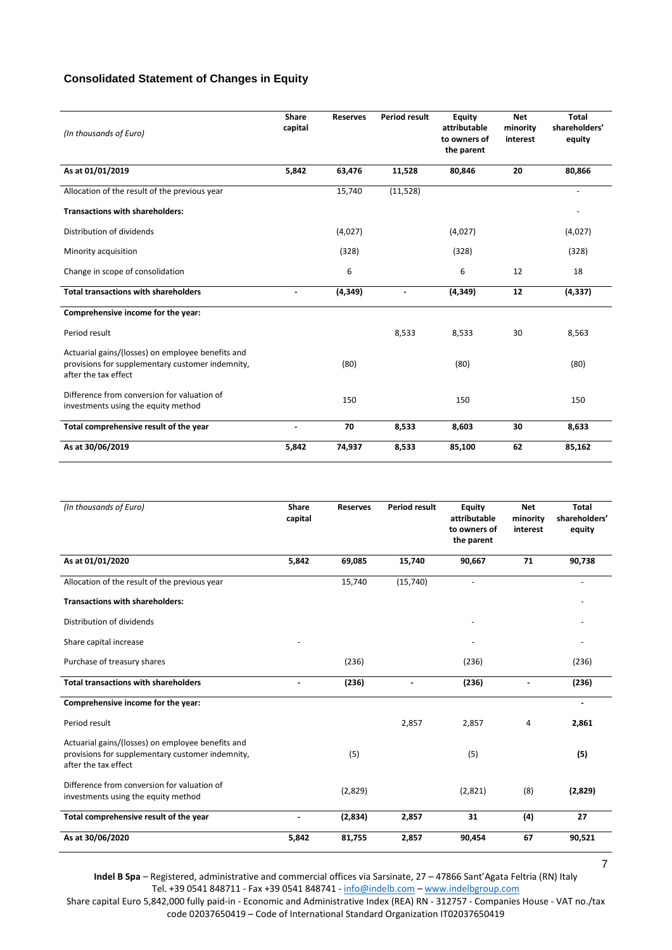## **Consolidated Statement of Changes in Equity**

| (In thousands of Euro)                                                                                                        | Share<br>capital | <b>Reserves</b> | <b>Period result</b> | <b>Equity</b><br>attributable<br>to owners of<br>the parent | <b>Net</b><br>minority<br>interest | <b>Total</b><br>shareholders'<br>equity |
|-------------------------------------------------------------------------------------------------------------------------------|------------------|-----------------|----------------------|-------------------------------------------------------------|------------------------------------|-----------------------------------------|
| As at 01/01/2019                                                                                                              | 5,842            | 63,476          | 11,528               | 80,846                                                      | 20                                 | 80,866                                  |
| Allocation of the result of the previous year                                                                                 |                  | 15,740          | (11, 528)            |                                                             |                                    | $\blacksquare$                          |
| <b>Transactions with shareholders:</b>                                                                                        |                  |                 |                      |                                                             |                                    |                                         |
| Distribution of dividends                                                                                                     |                  | (4,027)         |                      | (4,027)                                                     |                                    | (4,027)                                 |
| Minority acquisition                                                                                                          |                  | (328)           |                      | (328)                                                       |                                    | (328)                                   |
| Change in scope of consolidation                                                                                              |                  | 6               |                      | 6                                                           | 12                                 | 18                                      |
| <b>Total transactions with shareholders</b>                                                                                   |                  | (4, 349)        |                      | (4, 349)                                                    | 12                                 | (4, 337)                                |
| Comprehensive income for the year:                                                                                            |                  |                 |                      |                                                             |                                    |                                         |
| Period result                                                                                                                 |                  |                 | 8,533                | 8,533                                                       | 30                                 | 8,563                                   |
| Actuarial gains/(losses) on employee benefits and<br>provisions for supplementary customer indemnity,<br>after the tax effect |                  | (80)            |                      | (80)                                                        |                                    | (80)                                    |
| Difference from conversion for valuation of<br>investments using the equity method                                            |                  | 150             |                      | 150                                                         |                                    | 150                                     |
| Total comprehensive result of the year                                                                                        |                  | 70              | 8,533                | 8,603                                                       | 30                                 | 8,633                                   |
| As at 30/06/2019                                                                                                              | 5,842            | 74,937          | 8,533                | 85,100                                                      | 62                                 | 85,162                                  |

| (In thousands of Euro)                                                                                                        | Share<br>capital | <b>Reserves</b> | <b>Period result</b> | Equity<br>attributable<br>to owners of<br>the parent | <b>Net</b><br>minority<br>interest | <b>Total</b><br>shareholders'<br>equity |
|-------------------------------------------------------------------------------------------------------------------------------|------------------|-----------------|----------------------|------------------------------------------------------|------------------------------------|-----------------------------------------|
| As at 01/01/2020                                                                                                              | 5,842            | 69,085          | 15,740               | 90,667                                               | 71                                 | 90,738                                  |
| Allocation of the result of the previous year                                                                                 |                  | 15,740          | (15, 740)            | $\overline{\phantom{a}}$                             |                                    | $\overline{\phantom{a}}$                |
| <b>Transactions with shareholders:</b>                                                                                        |                  |                 |                      |                                                      |                                    |                                         |
| Distribution of dividends                                                                                                     |                  |                 |                      |                                                      |                                    |                                         |
| Share capital increase                                                                                                        |                  |                 |                      |                                                      |                                    |                                         |
| Purchase of treasury shares                                                                                                   |                  | (236)           |                      | (236)                                                |                                    | (236)                                   |
| <b>Total transactions with shareholders</b>                                                                                   |                  | (236)           |                      | (236)                                                |                                    | (236)                                   |
| Comprehensive income for the year:                                                                                            |                  |                 |                      |                                                      |                                    | $\blacksquare$                          |
| Period result                                                                                                                 |                  |                 | 2,857                | 2,857                                                | 4                                  | 2,861                                   |
| Actuarial gains/(losses) on employee benefits and<br>provisions for supplementary customer indemnity,<br>after the tax effect |                  | (5)             |                      | (5)                                                  |                                    | (5)                                     |
| Difference from conversion for valuation of<br>investments using the equity method                                            |                  | (2,829)         |                      | (2,821)                                              | (8)                                | (2,829)                                 |
| Total comprehensive result of the year                                                                                        | L,               | (2,834)         | 2,857                | 31                                                   | (4)                                | 27                                      |
| As at 30/06/2020                                                                                                              | 5,842            | 81,755          | 2,857                | 90,454                                               | 67                                 | 90,521                                  |

**Indel B Spa** – Registered, administrative and commercial offices via Sarsinate, 27 – 47866 Sant'Agata Feltria (RN) Italy Tel. +39 0541 848711 - Fax +39 0541 848741 - [info@indelb.com](mailto:info@indelb.com) – [www.indelbgroup.com](http://www.indelbgroup.com/)

Share capital Euro 5,842,000 fully paid-in - Economic and Administrative Index (REA) RN - 312757 - Companies House - VAT no./tax code 02037650419 – Code of International Standard Organization IT02037650419

7